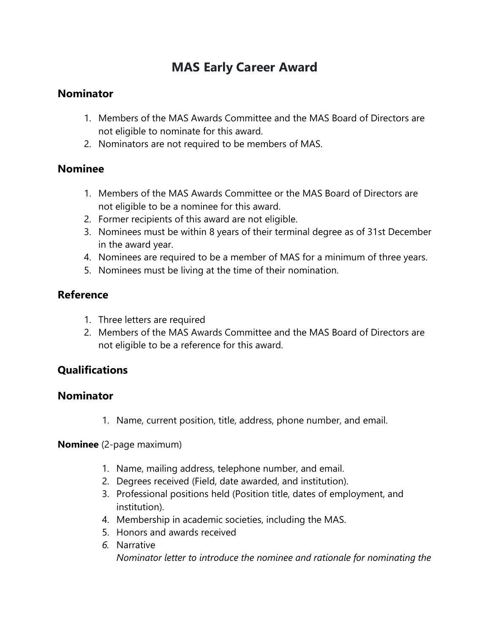# **MAS Early Career Award**

### **Nominator**

- 1. Members of the MAS Awards Committee and the MAS Board of Directors are not eligible to nominate for this award.
- 2. Nominators are not required to be members of MAS.

### **Nominee**

- 1. Members of the MAS Awards Committee or the MAS Board of Directors are not eligible to be a nominee for this award.
- 2. Former recipients of this award are not eligible.
- 3. Nominees must be within 8 years of their terminal degree as of 31st December in the award year.
- 4. Nominees are required to be a member of MAS for a minimum of three years.
- 5. Nominees must be living at the time of their nomination.

# **Reference**

- 1. Three letters are required
- 2. Members of the MAS Awards Committee and the MAS Board of Directors are not eligible to be a reference for this award.

# **Qualifications**

#### **Nominator**

1. Name, current position, title, address, phone number, and email.

**Nominee** (2-page maximum)

- 1. Name, mailing address, telephone number, and email.
- 2. Degrees received (Field, date awarded, and institution).
- 3. Professional positions held (Position title, dates of employment, and institution).
- 4. Membership in academic societies, including the MAS.
- 5. Honors and awards received
- *6.* Narrative *Nominator letter to introduce the nominee and rationale for nominating the*